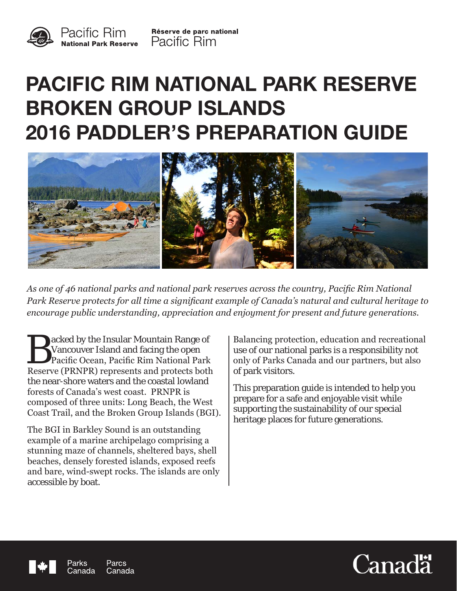

# **PACIFIC RIM NATIONAL PARK RESERVE BROKEN GROUP ISLANDS 2016 PADDLER'S PREPARATION GUIDE**



*As one of 46 national parks and national park reserves across the country, Pacific Rim National Park Reserve protects for all time a significant example of Canada's natural and cultural heritage to encourage public understanding, appreciation and enjoyment for present and future generations.*

acked by the Insular Mountain Range of Vancouver Island and facing the open Pacific Ocean, Pacific Rim National Park Reserve (PRNPR) represents and protects both the near-shore waters and the coastal lowland forests of Canada's west coast. PRNPR is composed of three units: Long Beach, the West Coast Trail, and the Broken Group Islands (BGI).

The BGI in Barkley Sound is an outstanding example of a marine archipelago comprising a stunning maze of channels, sheltered bays, shell beaches, densely forested islands, exposed reefs and bare, wind-swept rocks. The islands are only accessible by boat.

Balancing protection, education and recreational use of our national parks is a responsibility not only of Parks Canada and our partners, but also of park visitors.

This preparation guide is intended to help you prepare for a safe and enjoyable visit while supporting the sustainability of our special heritage places for future generations.



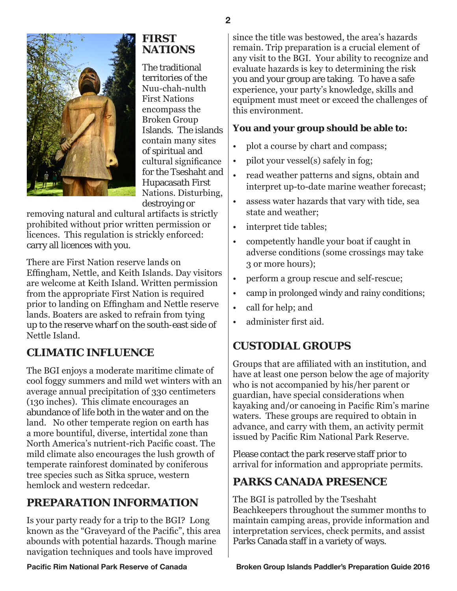

# **FIRST NATIONS**

The traditional territories of the Nuu-chah-nulth First Nations encompass the Broken Group Islands. The islands contain many sites of spiritual and cultural significance for the Tseshaht and Hupacasath First Nations. Disturbing, destroying or

removing natural and cultural artifacts is strictly prohibited without prior written permission or licences. This regulation is strickly enforced: carry all licences with you.

There are First Nation reserve lands on Effingham, Nettle, and Keith Islands. Day visitors are welcome at Keith Island. Written permission from the appropriate First Nation is required prior to landing on Effingham and Nettle reserve lands. Boaters are asked to refrain from tying up to the reserve wharf on the south-east side of Nettle Island.

# **CLIMATIC INFLUENCE**

The BGI enjoys a moderate maritime climate of cool foggy summers and mild wet winters with an average annual precipitation of 330 centimeters (130 inches). This climate encourages an abundance of life both in the water and on the land. No other temperate region on earth has a more bountiful, diverse, intertidal zone than North America's nutrient-rich Pacific coast. The mild climate also encourages the lush growth of temperate rainforest dominated by coniferous tree species such as Sitka spruce, western hemlock and western redcedar.

# **PREPARATION INFORMATION**

Is your party ready for a trip to the BGI? Long known as the "Graveyard of the Pacific", this area abounds with potential hazards. Though marine navigation techniques and tools have improved

since the title was bestowed, the area's hazards remain. Trip preparation is a crucial element of any visit to the BGI. Your ability to recognize and evaluate hazards is key to determining the risk you and your group are taking. To have a safe experience, your party's knowledge, skills and equipment must meet or exceed the challenges of this environment.

### **You and your group should be able to:**

- plot a course by chart and compass;
- pilot your vessel(s) safely in fog;
- read weather patterns and signs, obtain and interpret up-to-date marine weather forecast;
- assess water hazards that vary with tide, sea state and weather;
- interpret tide tables;
- competently handle your boat if caught in adverse conditions (some crossings may take 3 or more hours);
- perform a group rescue and self-rescue;
- camp in prolonged windy and rainy conditions;
- call for help; and
- administer first aid.

# **CUSTODIAL GROUPS**

Groups that are affiliated with an institution, and have at least one person below the age of majority who is not accompanied by his/her parent or guardian, have special considerations when kayaking and/or canoeing in Pacific Rim's marine waters. These groups are required to obtain in advance, and carry with them, an activity permit issued by Pacific Rim National Park Reserve.

Please contact the park reserve staff prior to arrival for information and appropriate permits.

# **PARKS CANADA PRESENCE**

The BGI is patrolled by the Tseshaht Beachkeepers throughout the summer months to maintain camping areas, provide information and interpretation services, check permits, and assist Parks Canada staff in a variety of ways.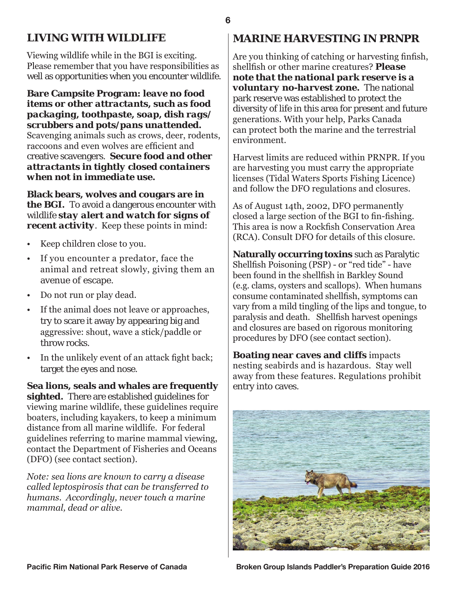# **LIVING WITH WILDLIFE**

Viewing wildlife while in the BGI is exciting. Please remember that you have responsibilities as well as opportunities when you encounter wildlife.

#### **Bare Campsite Program:** *leave no food items or other attractants, such as food packaging, toothpaste, soap, dish rags/ scrubbers and pots/pans unattended.*

Scavenging animals such as crows, deer, rodents, raccoons and even wolves are efficient and creative scavengers. *Secure food and other attractants in tightly closed containers when not in immediate use.*

**Black bears, wolves and cougars are in the BGI.** To avoid a dangerous encounter with wildlife *stay alert and watch for signs of recent activity*. Keep these points in mind:

- Keep children close to you.
- If you encounter a predator, face the animal and retreat slowly, giving them an avenue of escape.
- Do not run or play dead.
- If the animal does not leave or approaches, try to scare it away by appearing big and aggressive: shout, wave a stick/paddle or throw rocks.
- In the unlikely event of an attack fight back; target the eyes and nose.

**Sea lions, seals and whales are frequently sighted.** There are established guidelines for viewing marine wildlife, these guidelines require boaters, including kayakers, to keep a minimum distance from all marine wildlife. For federal guidelines referring to marine mammal viewing, contact the Department of Fisheries and Oceans (DFO) (see contact section).

*Note: sea lions are known to carry a disease called leptospirosis that can be transferred to humans. Accordingly, never touch a marine mammal, dead or alive.*

# **MARINE HARVESTING IN PRNPR**

Are you thinking of catching or harvesting finfish, shellfish or other marine creatures? *Please note that the national park reserve is a voluntary no-harvest zone.* The national park reserve was established to protect the diversity of life in this area for present and future generations. With your help, Parks Canada can protect both the marine and the terrestrial environment.

Harvest limits are reduced within PRNPR. If you are harvesting you must carry the appropriate licenses (Tidal Waters Sports Fishing Licence) and follow the DFO regulations and closures.

As of August 14th, 2002, DFO permanently closed a large section of the BGI to fin-fishing. This area is now a Rockfish Conservation Area (RCA). Consult DFO for details of this closure.

**Naturally occurring toxins** such as Paralytic Shellfish Poisoning (PSP) - or "red tide" - have been found in the shellfish in Barkley Sound (e.g. clams, oysters and scallops). When humans consume contaminated shellfish, symptoms can vary from a mild tingling of the lips and tongue, to paralysis and death. Shellfish harvest openings and closures are based on rigorous monitoring procedures by DFO (see contact section).

**Boating near caves and cliffs** impacts nesting seabirds and is hazardous. Stay well away from these features. Regulations prohibit entry into caves.

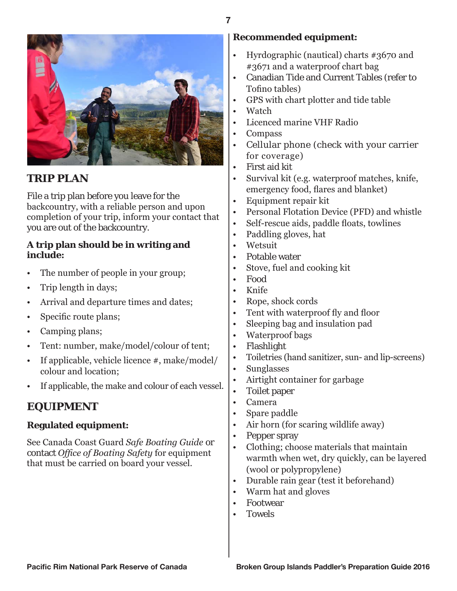



# **TRIP PLAN**

File a trip plan before you leave for the backcountry, with a reliable person and upon completion of your trip, inform your contact that you are out of the backcountry.

#### **A trip plan should be in writing and include:**

- The number of people in your group;
- Trip length in days;
- Arrival and departure times and dates;
- Specific route plans;
- Camping plans;
- Tent: number, make/model/colour of tent;
- If applicable, vehicle licence #, make/model/ colour and location;
- If applicable, the make and colour of each vessel.

# **EQUIPMENT**

#### **Regulated equipment:**

See Canada Coast Guard *Safe Boating Guide* or contact *Office of Boating Safety* for equipment that must be carried on board your vessel.

### **Recommended equipment:**

- Hyrdographic (nautical) charts #3670 and #3671 and a waterproof chart bag
- Canadian Tide and Current Tables (refer to Tofino tables)
- GPS with chart plotter and tide table
- Watch
- Licenced marine VHF Radio
- Compass
- Cellular phone (check with your carrier for coverage)
- First aid kit
- Survival kit (e.g. waterproof matches, knife, emergency food, flares and blanket)
- Equipment repair kit
- Personal Flotation Device (PFD) and whistle
- Self-rescue aids, paddle floats, towlines
- Paddling gloves, hat
- Wetsuit
- Potable water
- Stove, fuel and cooking kit
- Food
- Knife
- Rope, shock cords
- Tent with waterproof fly and floor
- Sleeping bag and insulation pad
- Waterproof bags
- Flashlight
- Toiletries (hand sanitizer, sun- and lip-screens)
- Sunglasses
- Airtight container for garbage
- Toilet paper
- Camera
- Spare paddle
- Air horn (for scaring wildlife away)
- Pepper spray
- Clothing; choose materials that maintain warmth when wet, dry quickly, can be layered (wool or polypropylene)
- Durable rain gear (test it beforehand)
- Warm hat and gloves
- Footwear
- Towels